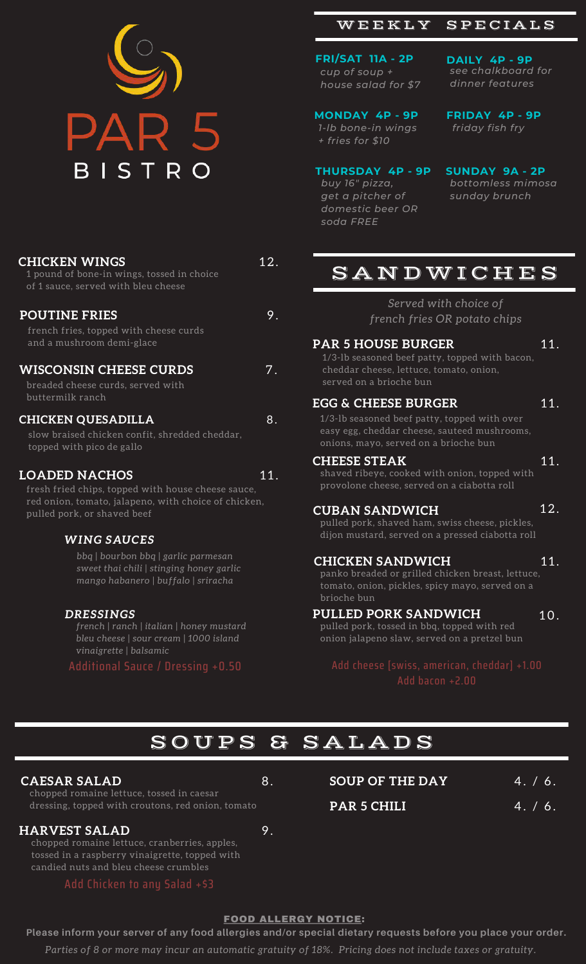

| <u>CHICKEN WINGS</u><br>1 pound of bone-in wings, tossed in choice<br>of 1 sauce, served with bleu cheese                                                         | 12. |
|-------------------------------------------------------------------------------------------------------------------------------------------------------------------|-----|
| <b>POUTINE FRIES</b><br>french fries, topped with cheese curds<br>and a mushroom demi-glace                                                                       | 9.  |
| <b>WISCONSIN CHEESE CURDS</b><br>breaded cheese curds, served with<br>buttermilk ranch                                                                            | 7.  |
| <b>CHICKEN QUESADILLA</b><br>slow braised chicken confit, shredded cheddar,<br>topped with pico de gallo                                                          | 8.  |
| <u>LOADED NACHOS</u><br>fresh fried chips, topped with house cheese sauce,<br>red onion, tomato, jalapeno, with choice of chicken,<br>pulled pork, or shaved beef | 11. |
| <b>WING SAUCES</b><br>bbq   bourbon bbq   garlic parmesan<br>sweet thai chili   stinging honey garlic<br>mango habanero   buffalo   sriracha                      |     |

#### *DRESSINGS*

*french | ranch | italian | honey mustard bleu cheese | sour cream | 1000 island vinaigrette | balsamic*

### WEEKLY SPECIALS

**FRI/SAT 11A - 2P** *cup of soup + house salad for \$7*

*see chalkboard for dinner features*

**DAILY 4P - 9P**

**MONDAY 4P - 9P** *1-lb bone-in wings + fries for \$10*

**FRIDAY 4P - 9P** *friday fish fry*

### **THURSDAY 4P - 9P**

*buy 16" pizza, get a pitcher of domestic beer OR soda FREE*

**SUNDAY 9A - 2P** *bottomless mimosa sunday brunch*

## S A N D W I C H E S

*Served with choice of french fries OR potato chips*

#### **PAR 5 HOUSE BURGER** 11.

1/3-lb seasoned beef patty, topped with bacon, cheddar cheese, lettuce, tomato, onion, served on a brioche bun

#### **EGG & CHEESE BURGER** 11.

1/3-lb seasoned beef patty, topped with over easy egg, cheddar cheese, sauteed mushrooms, onions, mayo, served on a brioche bun

#### **CHEESE STEAK** 11.

shaved ribeye, cooked with onion, topped with provolone cheese, served on a ciabotta roll

#### **CUBAN SANDWICH** 12.

**PAR 5 CHILI**

pulled pork, shaved ham, swiss cheese, pickles, dijon mustard, served on a pressed ciabotta roll

#### **CHICKEN SANDWICH** 11.

panko breaded or grilled chicken breast, lettuce, tomato, onion, pickles, spicy mayo, served on a brioche bun

#### **PULLED PORK SANDWICH** 10.

pulled pork, tossed in bbq, topped with red onion jalapeno slaw, served on a pretzel bun

Add bacon +2.00

4 . / 6 .

 $4. / 6.$ 

## S O U P S & S A L A D S

#### **CAESAR SALAD** 8. SOUP OF THE DAY

chopped romaine lettuce, tossed in caesar dressing, topped with croutons, red onion, tomato

### **HARVEST SALAD** 9.

8 .

chopped romaine lettuce, cranberries, apples, tossed in a raspberry vinaigrette, topped with candied nuts and bleu cheese crumbles

Add Chicken to any Salad +\$3

#### FOOD ALLERGY NOTICE:

**Please inform your server of any food allergies and/or special dietary requests before you place your order.** *Parties of 8 or more may incur an automatic gratuity of 18%. Pricing does not include taxes or gratuity.*